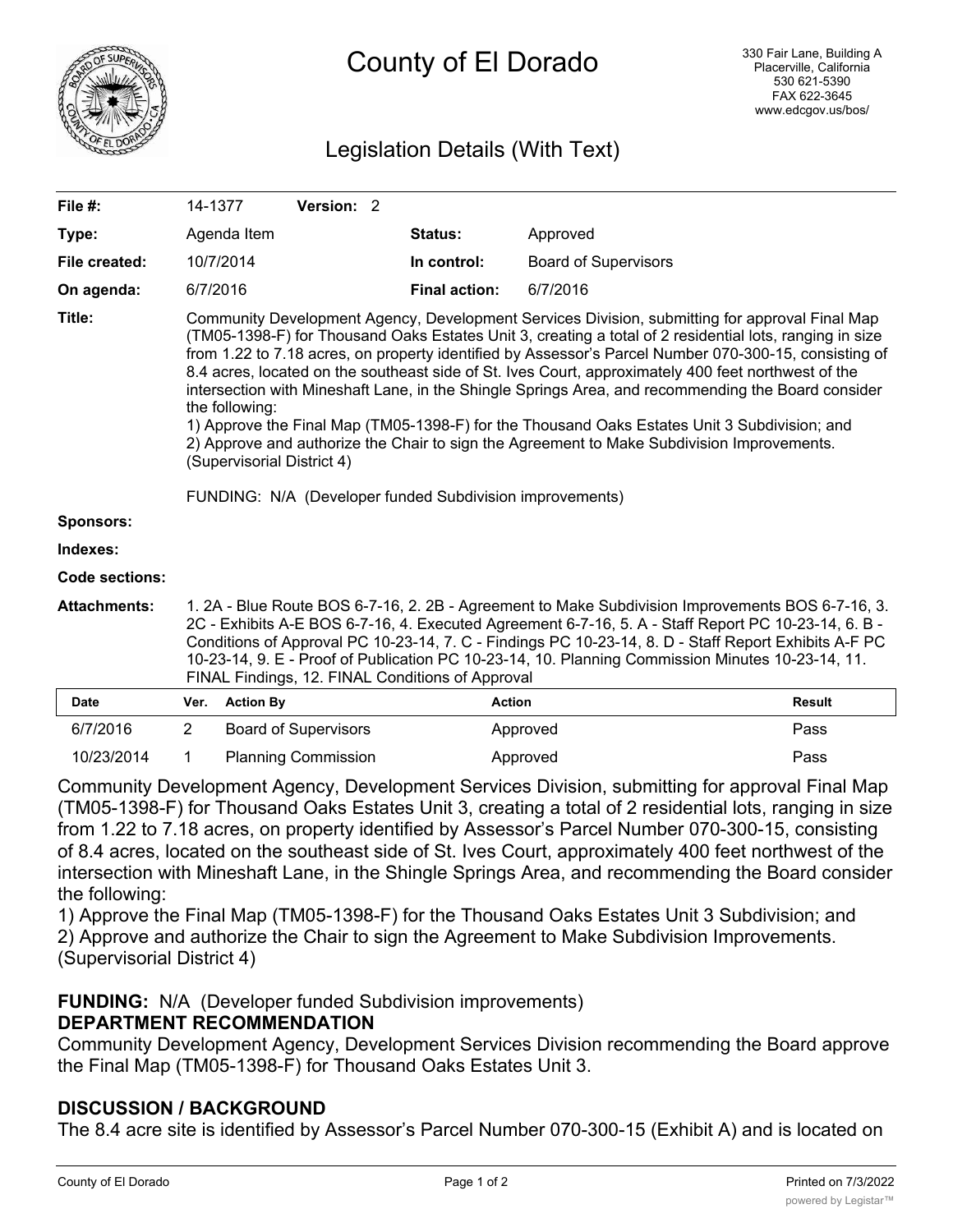

# Legislation Details (With Text)

| File #:               | 14-1377                                                                                                                                                                                                                                                                                                                                                                                                                                                                                                                                                                                                                                                                                                                                                                                                                                   | Version: 2 |                      |                             |               |  |  |
|-----------------------|-------------------------------------------------------------------------------------------------------------------------------------------------------------------------------------------------------------------------------------------------------------------------------------------------------------------------------------------------------------------------------------------------------------------------------------------------------------------------------------------------------------------------------------------------------------------------------------------------------------------------------------------------------------------------------------------------------------------------------------------------------------------------------------------------------------------------------------------|------------|----------------------|-----------------------------|---------------|--|--|
| Type:                 | Agenda Item                                                                                                                                                                                                                                                                                                                                                                                                                                                                                                                                                                                                                                                                                                                                                                                                                               |            | <b>Status:</b>       | Approved                    |               |  |  |
| File created:         | 10/7/2014                                                                                                                                                                                                                                                                                                                                                                                                                                                                                                                                                                                                                                                                                                                                                                                                                                 |            | In control:          | <b>Board of Supervisors</b> |               |  |  |
| On agenda:            | 6/7/2016                                                                                                                                                                                                                                                                                                                                                                                                                                                                                                                                                                                                                                                                                                                                                                                                                                  |            | <b>Final action:</b> | 6/7/2016                    |               |  |  |
| Title:                | Community Development Agency, Development Services Division, submitting for approval Final Map<br>(TM05-1398-F) for Thousand Oaks Estates Unit 3, creating a total of 2 residential lots, ranging in size<br>from 1.22 to 7.18 acres, on property identified by Assessor's Parcel Number 070-300-15, consisting of<br>8.4 acres, located on the southeast side of St. Ives Court, approximately 400 feet northwest of the<br>intersection with Mineshaft Lane, in the Shingle Springs Area, and recommending the Board consider<br>the following:<br>1) Approve the Final Map (TM05-1398-F) for the Thousand Oaks Estates Unit 3 Subdivision; and<br>2) Approve and authorize the Chair to sign the Agreement to Make Subdivision Improvements.<br>(Supervisorial District 4)<br>FUNDING: N/A (Developer funded Subdivision improvements) |            |                      |                             |               |  |  |
| <b>Sponsors:</b>      |                                                                                                                                                                                                                                                                                                                                                                                                                                                                                                                                                                                                                                                                                                                                                                                                                                           |            |                      |                             |               |  |  |
| Indexes:              |                                                                                                                                                                                                                                                                                                                                                                                                                                                                                                                                                                                                                                                                                                                                                                                                                                           |            |                      |                             |               |  |  |
| <b>Code sections:</b> |                                                                                                                                                                                                                                                                                                                                                                                                                                                                                                                                                                                                                                                                                                                                                                                                                                           |            |                      |                             |               |  |  |
| <b>Attachments:</b>   | 1. 2A - Blue Route BOS 6-7-16, 2. 2B - Agreement to Make Subdivision Improvements BOS 6-7-16, 3.<br>2C - Exhibits A-E BOS 6-7-16, 4. Executed Agreement 6-7-16, 5. A - Staff Report PC 10-23-14, 6. B -<br>Conditions of Approval PC 10-23-14, 7. C - Findings PC 10-23-14, 8. D - Staff Report Exhibits A-F PC<br>10-23-14, 9. E - Proof of Publication PC 10-23-14, 10. Planning Commission Minutes 10-23-14, 11.<br>FINAL Findings, 12. FINAL Conditions of Approval                                                                                                                                                                                                                                                                                                                                                                   |            |                      |                             |               |  |  |
| Date                  | Ver. Action By                                                                                                                                                                                                                                                                                                                                                                                                                                                                                                                                                                                                                                                                                                                                                                                                                            |            | <b>Action</b>        |                             | <b>Result</b> |  |  |

| Date       | Ver. Action By             | <b>Action</b> | Result |
|------------|----------------------------|---------------|--------|
| 6/7/2016   | Board of Supervisors       | Approved      | Pass   |
| 10/23/2014 | <b>Planning Commission</b> | Approved      | Pass   |

Community Development Agency, Development Services Division, submitting for approval Final Map (TM05-1398-F) for Thousand Oaks Estates Unit 3, creating a total of 2 residential lots, ranging in size from 1.22 to 7.18 acres, on property identified by Assessor's Parcel Number 070-300-15, consisting of 8.4 acres, located on the southeast side of St. Ives Court, approximately 400 feet northwest of the intersection with Mineshaft Lane, in the Shingle Springs Area, and recommending the Board consider the following:

1) Approve the Final Map (TM05-1398-F) for the Thousand Oaks Estates Unit 3 Subdivision; and 2) Approve and authorize the Chair to sign the Agreement to Make Subdivision Improvements. (Supervisorial District 4)

## **FUNDING:** N/A (Developer funded Subdivision improvements)

## **DEPARTMENT RECOMMENDATION**

Community Development Agency, Development Services Division recommending the Board approve the Final Map (TM05-1398-F) for Thousand Oaks Estates Unit 3.

## **DISCUSSION / BACKGROUND**

The 8.4 acre site is identified by Assessor's Parcel Number 070-300-15 (Exhibit A) and is located on